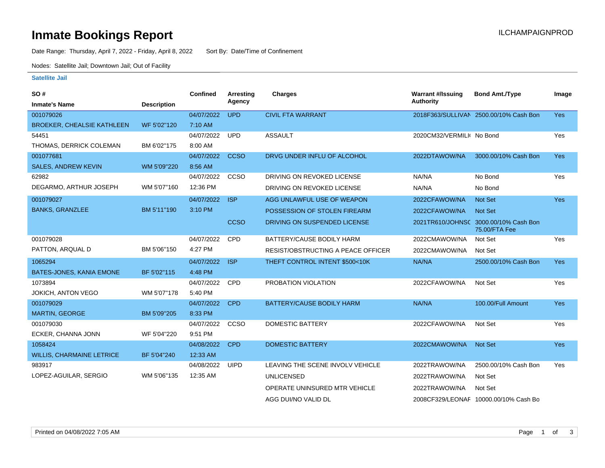### **Inmate Bookings Report International Contract Contract Contract Contract Contract Contract Contract Contract Contract Contract Contract Contract Contract Contract Contract Contract Contract Contract Contract Contract Co**

Date Range: Thursday, April 7, 2022 - Friday, April 8, 2022 Sort By: Date/Time of Confinement

Nodes: Satellite Jail; Downtown Jail; Out of Facility

#### **Satellite Jail**

| SO#                               |                    | <b>Confined</b> | Arresting   | <b>Charges</b>                            | <b>Warrant #/Issuing</b>  | <b>Bond Amt./Type</b>                                  | Image      |
|-----------------------------------|--------------------|-----------------|-------------|-------------------------------------------|---------------------------|--------------------------------------------------------|------------|
| <b>Inmate's Name</b>              | <b>Description</b> |                 | Agency      |                                           | <b>Authority</b>          |                                                        |            |
| 001079026                         |                    | 04/07/2022      | <b>UPD</b>  | <b>CIVIL FTA WARRANT</b>                  |                           | 2018F363/SULLIVAN 2500.00/10% Cash Bon                 | <b>Yes</b> |
| <b>BROEKER, CHEALSIE KATHLEEN</b> | WF 5'02"120        | 7:10 AM         |             |                                           |                           |                                                        |            |
| 54451                             |                    | 04/07/2022      | <b>UPD</b>  | <b>ASSAULT</b>                            | 2020CM32/VERMILI( No Bond |                                                        | Yes        |
| THOMAS, DERRICK COLEMAN           | BM 6'02"175        | 8:00 AM         |             |                                           |                           |                                                        |            |
| 001077681                         |                    | 04/07/2022      | <b>CCSO</b> | DRVG UNDER INFLU OF ALCOHOL               | 2022DTAWOW/NA             | 3000.00/10% Cash Bon                                   | <b>Yes</b> |
| <b>SALES, ANDREW KEVIN</b>        | WM 5'09"220        | 8:56 AM         |             |                                           |                           |                                                        |            |
| 62982                             |                    | 04/07/2022      | CCSO        | DRIVING ON REVOKED LICENSE                | NA/NA                     | No Bond                                                | Yes        |
| DEGARMO, ARTHUR JOSEPH            | WM 5'07"160        | 12:36 PM        |             | DRIVING ON REVOKED LICENSE                | NA/NA                     | No Bond                                                |            |
| 001079027                         |                    | 04/07/2022      | <b>ISP</b>  | AGG UNLAWFUL USE OF WEAPON                | 2022CFAWOW/NA             | <b>Not Set</b>                                         | Yes        |
| <b>BANKS, GRANZLEE</b>            | BM 5'11"190        | 3:10 PM         |             | POSSESSION OF STOLEN FIREARM              | 2022CFAWOW/NA             | <b>Not Set</b>                                         |            |
|                                   |                    |                 | <b>CCSO</b> | DRIVING ON SUSPENDED LICENSE              |                           | 2021TR610/JOHNSC 3000.00/10% Cash Bon<br>75.00/FTA Fee |            |
| 001079028                         |                    | 04/07/2022      | CPD         | BATTERY/CAUSE BODILY HARM                 | 2022CMAWOW/NA             | Not Set                                                | Yes        |
| PATTON, ARQUAL D                  | BM 5'06"150        | 4:27 PM         |             | <b>RESIST/OBSTRUCTING A PEACE OFFICER</b> | 2022CMAWOW/NA             | Not Set                                                |            |
| 1065294                           |                    | 04/07/2022      | <b>ISP</b>  | THEFT CONTROL INTENT \$500<10K            | NA/NA                     | 2500.00/10% Cash Bon                                   | <b>Yes</b> |
| BATES-JONES, KANIA EMONE          | BF 5'02"115        | 4:48 PM         |             |                                           |                           |                                                        |            |
| 1073894                           |                    | 04/07/2022      | <b>CPD</b>  | PROBATION VIOLATION                       | 2022CFAWOW/NA             | Not Set                                                | Yes        |
| <b>JOKICH, ANTON VEGO</b>         | WM 5'07"178        | 5:40 PM         |             |                                           |                           |                                                        |            |
| 001079029                         |                    | 04/07/2022      | <b>CPD</b>  | BATTERY/CAUSE BODILY HARM                 | NA/NA                     | 100.00/Full Amount                                     | Yes        |
| MARTIN, GEORGE                    | BM 5'09"205        | 8:33 PM         |             |                                           |                           |                                                        |            |
| 001079030                         |                    | 04/07/2022      | CCSO        | <b>DOMESTIC BATTERY</b>                   | 2022CFAWOW/NA             | Not Set                                                | Yes        |
| ECKER, CHANNA JONN                | WF 5'04"220        | 9:51 PM         |             |                                           |                           |                                                        |            |
| 1058424                           |                    | 04/08/2022      | <b>CPD</b>  | <b>DOMESTIC BATTERY</b>                   | 2022CMAWOW/NA             | <b>Not Set</b>                                         | Yes        |
| <b>WILLIS, CHARMAINE LETRICE</b>  | BF 5'04"240        | 12:33 AM        |             |                                           |                           |                                                        |            |
| 983917                            |                    | 04/08/2022      | UIPD        | LEAVING THE SCENE INVOLV VEHICLE          | 2022TRAWOW/NA             | 2500.00/10% Cash Bon                                   | Yes        |
| LOPEZ-AGUILAR, SERGIO             | WM 5'06"135        | 12:35 AM        |             | <b>UNLICENSED</b>                         | 2022TRAWOW/NA             | Not Set                                                |            |
|                                   |                    |                 |             | OPERATE UNINSURED MTR VEHICLE             | 2022TRAWOW/NA             | Not Set                                                |            |
|                                   |                    |                 |             | AGG DUI/NO VALID DL                       |                           | 2008CF329/LEONAF 10000.00/10% Cash Bo                  |            |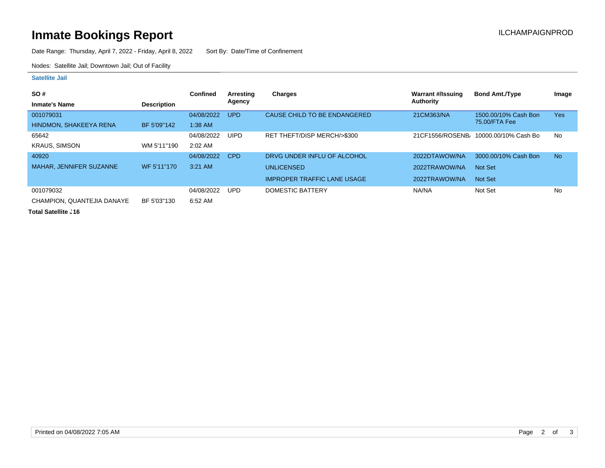# **Inmate Bookings Report Installation Control Control Control Control Control Control Control Control Control Control Control Control Control Control Control Control Control Control Control Control Control Control Control**

Date Range: Thursday, April 7, 2022 - Friday, April 8, 2022 Sort By: Date/Time of Confinement

Nodes: Satellite Jail; Downtown Jail; Out of Facility

#### **Satellite Jail**

| SO#                            |                    | Confined   | Arresting   | <b>Charges</b>                     | Warrant #/Issuing | <b>Bond Amt./Type</b>                             | Image      |
|--------------------------------|--------------------|------------|-------------|------------------------------------|-------------------|---------------------------------------------------|------------|
| <b>Inmate's Name</b>           | <b>Description</b> |            | Agency      |                                    | Authority         |                                                   |            |
| 001079031                      |                    | 04/08/2022 | UPD.        | CAUSE CHILD TO BE ENDANGERED       | 21CM363/NA        | 1500.00/10% Cash Bon                              | <b>Yes</b> |
| HINDMON, SHAKEEYA RENA         | BF 5'09"142        | $1:38$ AM  |             |                                    |                   | 75.00/FTA Fee                                     |            |
| 65642                          |                    | 04/08/2022 | <b>UIPD</b> | RET THEFT/DISP MERCH/>\$300        |                   | 21CF1556/ROSENB <sub>1</sub> 10000.00/10% Cash Bo | No         |
| <b>KRAUS, SIMSON</b>           | WM 5'11"190        | $2:02$ AM  |             |                                    |                   |                                                   |            |
| 40920                          |                    | 04/08/2022 | CPD         | DRVG UNDER INFLU OF ALCOHOL        | 2022DTAWOW/NA     | 3000.00/10% Cash Bon                              | <b>No</b>  |
| <b>MAHAR, JENNIFER SUZANNE</b> | WF 5'11"170        | $3:21$ AM  |             | <b>UNLICENSED</b>                  | 2022TRAWOW/NA     | Not Set                                           |            |
|                                |                    |            |             | <b>IMPROPER TRAFFIC LANE USAGE</b> | 2022TRAWOW/NA     | Not Set                                           |            |
| 001079032                      |                    | 04/08/2022 | <b>UPD</b>  | DOMESTIC BATTERY                   | NA/NA             | Not Set                                           | No         |
| CHAMPION, QUANTEJIA DANAYE     | BF 5'03"130        | 6:52 AM    |             |                                    |                   |                                                   |            |

**Total Satellite . 16**